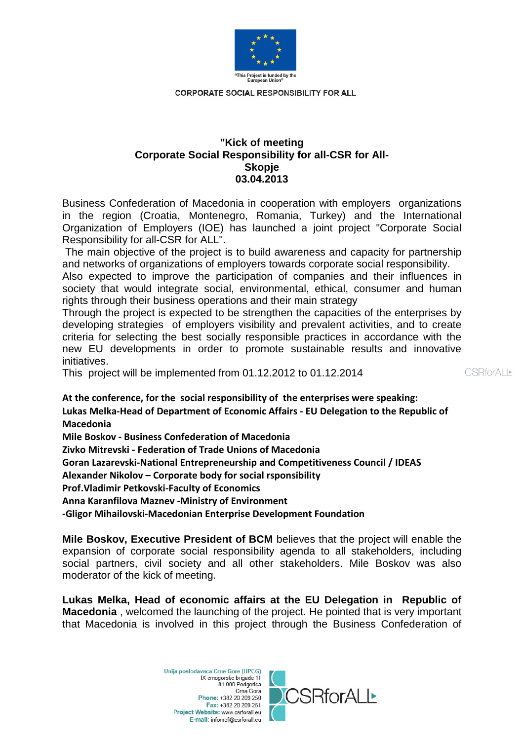

## **"Kick of meeting Corporate Social Responsibility for all-CSR for All-Skopje 03.04.2013**

Business Confederation of Macedonia in cooperation with employers organizations in the region (Croatia, Montenegro, Romania, Turkey) and the International Organization of Employers (IOE) has launched a joint project "Corporate Social Responsibility for all-CSR for ALL".

The main objective of the project is to build awareness and capacity for partnership and networks of organizations of employers towards corporate social responsibility.

Also expected to improve the participation of companies and their influences in society that would integrate social, environmental, ethical, consumer and human rights through their business operations and their main strategy

Through the project is expected to be strengthen the capacities of the enterprises by developing strategies of employers visibility and prevalent activities, and to create criteria for selecting the best socially responsible practices in accordance with the new EU developments in order to promote sustainable results and innovative initiatives.

This project will be implemented from 01.12.2012 to 01.12.2014

CSBforALI>

**At the conference, for the social responsibility of the enterprises were speaking: Lukas Melka-Head of Department of Economic Affairs - EU Delegation to the Republic of Macedonia**

**Mile Boskov - Business Confederation of Macedonia**

**Zivko Mitrevski - Federation of Trade Unions of Macedonia**

**Goran Lazarevski-National Entrepreneurship and Competitiveness Council / IDEAS**

**Alexander Nikolov – Corporate body for social rsponsibility**

**Prof.Vladimir Petkovski-Faculty of Economics**

**Anna Karanfilova Maznev -Ministry of Environment**

**-Gligor Mihailovski-Macedonian Enterprise Development Foundation**

**Mile Boskov, Executive President of BCM** believes that the project will enable the expansion of corporate social responsibility agenda to all stakeholders, including social partners, civil society and all other stakeholders. Mile Boskov was also moderator of the kick of meeting.

**Lukas Melka, Head of economic affairs at the EU Delegation in Republic of Macedonia** , welcomed the launching of the project. He pointed that is very important that Macedonia is involved in this project through the Business Confederation of

> Unija poslodavaca Crne Gore (UPCG) IX crnogorske brigade 11 81 000 Podgorica Crna Gora Phone: +382 20 209 250 Fax: +382 20 209 251 Project Website: www.csrforall.eu E-mail: infomef@csrforall.eu

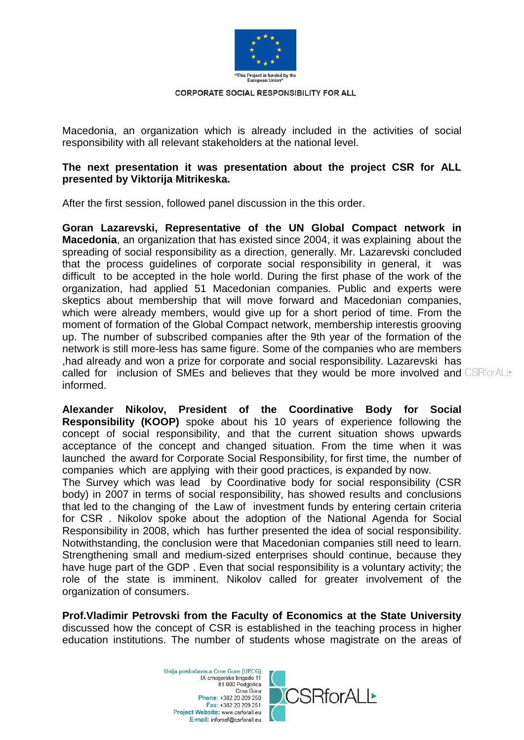

Macedonia, an organization which is already included in the activities of social responsibility with all relevant stakeholders at the national level.

# **The next presentation it was presentation about the project CSR for ALL presented by Viktorija Mitrikeska.**

After the first session, followed panel discussion in the this order.

**Goran Lazarevski, Representative of the UN Global Compact network in Macedonia**, an organization that has existed since 2004, it was explaining about the spreading of social responsibility as a direction, generally. Mr. Lazarevski concluded that the process guidelines of corporate social responsibility in general, it was difficult to be accepted in the hole world. During the first phase of the work of the organization, had applied 51 Macedonian companies. Public and experts were skeptics about membership that will move forward and Macedonian companies, which were already members, would give up for a short period of time. From the moment of formation of the Global Compact network, membership interestis grooving up. The number of subscribed companies after the 9th year of the formation of the network is still more-less has same figure. Some of the companies who are members ,had already and won a prize for corporate and social responsibility. Lazarevski has called for inclusion of SMEs and believes that they would be more involved and CSRforALL informed.

**Alexander Nikolov, President of the Coordinative Body for Social Responsibility (KOOP)** spoke about his 10 years of experience following the concept of social responsibility, and that the current situation shows upwards acceptance of the concept and changed situation. From the time when it was launched the award for Corporate Social Responsibility, for first time, the number of companies which are applying with their good practices, is expanded by now.

The Survey which was lead by Coordinative body for social responsibility (CSR body) in 2007 in terms of social responsibility, has showed results and conclusions that led to the changing of the Law of investment funds by entering certain criteria for CSR . Nikolov spoke about the adoption of the National Agenda for Social Responsibility in 2008, which has further presented the idea of social responsibility. Notwithstanding, the conclusion were that Macedonian companies still need to learn. Strengthening small and medium-sized enterprises should continue, because they have huge part of the GDP . Even that social responsibility is a voluntary activity; the role of the state is imminent. Nikolov called for greater involvement of the organization of consumers.

**Prof.Vladimir Petrovski from the Faculty of Economics at the State University**  discussed how the concept of CSR is established in the teaching process in higher education institutions. The number of students whose magistrate on the areas of

> Unija poslodavaca Crne Gore (UPCG) IX crnogorske brigade 11 81 000 Podgorica Crna Gora Phone: +382 20 209 250 Fax: +382 20 209 251 Project Website: www.csrforall.eu E-mail: infomef@csrforall.eu

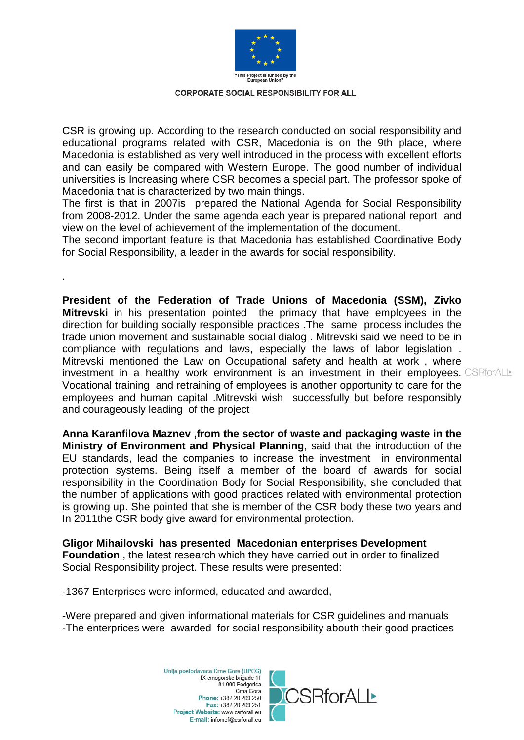

CSR is growing up. According to the research conducted on social responsibility and educational programs related with CSR, Macedonia is on the 9th place, where Macedonia is established as very well introduced in the process with excellent efforts and can easily be compared with Western Europe. The good number of individual universities is Increasing where CSR becomes a special part. The professor spoke of Macedonia that is characterized by two main things.

The first is that in 2007is prepared the National Agenda for Social Responsibility from 2008-2012. Under the same agenda each year is prepared national report and view on the level of achievement of the implementation of the document.

The second important feature is that Macedonia has established Coordinative Body for Social Responsibility, a leader in the awards for social responsibility.

**President of the Federation of Trade Unions of Macedonia (SSM), Zivko Mitrevski** in his presentation pointed the primacy that have employees in the direction for building socially responsible practices .The same process includes the trade union movement and sustainable social dialog . Mitrevski said we need to be in compliance with regulations and laws, especially the laws of labor legislation . Mitrevski mentioned the Law on Occupational safety and health at work , where investment in a healthy work environment is an investment in their employees. CSRforALL Vocational training and retraining of employees is another opportunity to care for the employees and human capital .Mitrevski wish successfully but before responsibly and courageously leading of the project

**Anna Karanfilova Maznev ,from the sector of waste and packaging waste in the Ministry of Environment and Physical Planning**, said that the introduction of the EU standards, lead the companies to increase the investment in environmental protection systems. Being itself a member of the board of awards for social responsibility in the Coordination Body for Social Responsibility, she concluded that the number of applications with good practices related with environmental protection is growing up. She pointed that she is member of the CSR body these two years and In 2011the CSR body give award for environmental protection.

**Gligor Mihailovski has presented Macedonian enterprises Development Foundation** , the latest research which they have carried out in order to finalized Social Responsibility project. These results were presented:

-1367 Enterprises were informed, educated and awarded,

.

-Were prepared and given informational materials for CSR guidelines and manuals -The enterprices were awarded for social responsibility abouth their good practices